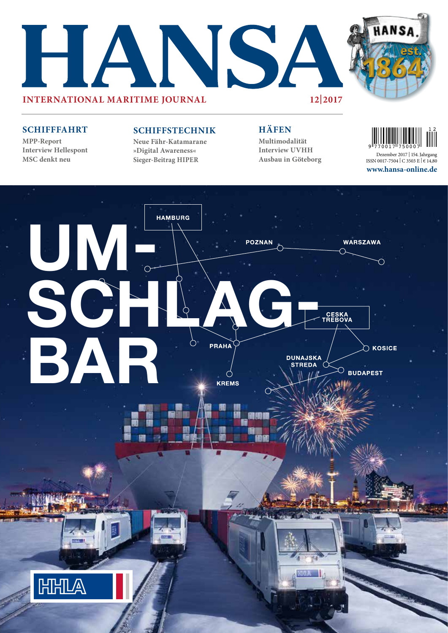



### **SCHIFFFAHRT**

**MPP-Report Interview Hellespont MSC denkt neu**

### **SCHIFFSTECHNIK**

**Neue Fähr-Katamarane »Digital Awareness« Sieger-Beitrag HIPER**

### **HÄFEN**

**Multimodalität Interview UVHH Ausbau in Göteborg**



**www.hansa-online.de** Dezember 2017 | 154.Jahrgang ISSN 0017-7504 | C 3503 E | € 14,80

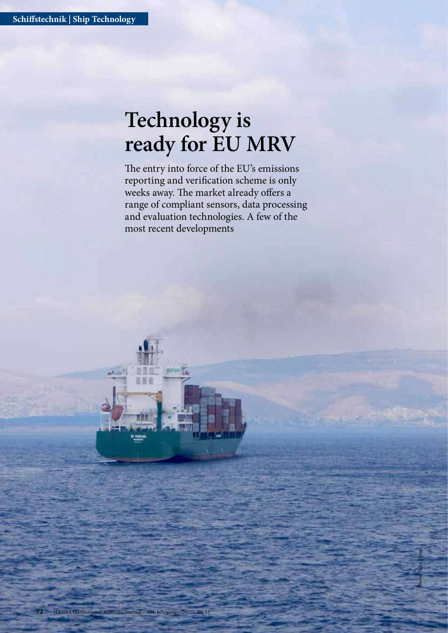# **Technology is ready for EU MRV**

The entry into force of the EU's emissions reporting and verification scheme is only weeks away. The market already offers a range of compliant sensors, data processing and evaluation technologies. A few of the most recent developments

Photo: Felix Selzer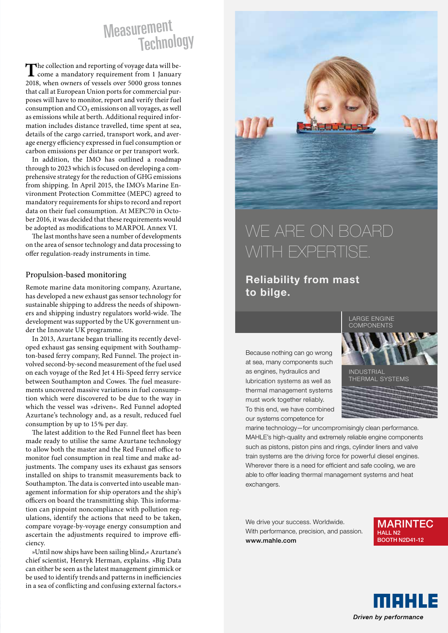# Measurement<br>Technology

The collection and reporting of voyage data will be-<br>come a mandatory requirement from 1 January<br>2010 – have found to the F000 and to 2018, when owners of vessels over 5000 gross tonnes that call at European Union ports for commercial purposes will have to monitor, report and verify their fuel consumption and  $CO<sub>2</sub>$  emissions on all voyages, as well as emissions while at berth. Additional required information includes distance travelled, time spent at sea, details of the cargo carried, transport work, and average energy efficiency expressed in fuel consumption or carbon emissions per distance or per transport work.

In addition, the IMO has outlined a roadmap through to 2023 which is focused on developing a comprehensive strategy for the reduction of GHG emissions from shipping. In April 2015, the IMO's Marine Environment Protection Committee (MEPC) agreed to mandatory requirements for ships to record and report data on their fuel consumption. At MEPC70 in October 2016, it was decided that these requirements would be adopted as modifications to MARPOL Annex VI.

The last months have seen a number of developments on the area of sensor technology and data processing to offer regulation-ready instruments in time.

### Propulsion-based monitoring

Remote marine data monitoring company, Azurtane, has developed a new exhaust gas sensor technology for sustainable shipping to address the needs of shipowners and shipping industry regulators world-wide. The development was supported by the UK government under the Innovate UK programme.

In 2013, Azurtane began trialling its recently developed exhaust gas sensing equipment with Southampton-based ferry company, Red Funnel. The project involved second-by-second measurement of the fuel used on each voyage of the Red Jet 4 Hi-Speed ferry service between Southampton and Cowes. The fuel measurements uncovered massive variations in fuel consumption which were discovered to be due to the way in which the vessel was »driven«. Red Funnel adopted Azurtane's technology and, as a result, reduced fuel consumption by up to 15% per day.

The latest addition to the Red Funnel fleet has been made ready to utilise the same Azurtane technology to allow both the master and the Red Funnel office to monitor fuel consumption in real time and make adjustments. The company uses its exhaust gas sensors installed on ships to transmit measurements back to Southampton. The data is converted into useable management information for ship operators and the ship's officers on board the transmitting ship. This information can pinpoint noncompliance with pollution regulations, identify the actions that need to be taken, compare voyage-by-voyage energy consumption and ascertain the adjustments required to improve efficiency.

»Until now ships have been sailing blind,« Azurtane's chief scientist, Henryk Herman, explains. »Big Data can either be seen as the latest management gimmick or be used to identify trends and patterns in inefficiencies in a sea of conflicting and confusing external factors.«



## WE ARE ON BOARD WITH EXPERTISE.

### Reliability from mast to bilge.

Because nothing can go wrong at sea, many components such as engines, hydraulics and lubrication systems as well as thermal management systems must work together reliably. To this end, we have combined our systems competence for



marine technology—for uncompromisingly clean performance. MAHLE's high-quality and extremely reliable engine components such as pistons, piston pins and rings, cylinder liners and valve train systems are the driving force for powerful diesel engines. Wherever there is a need for efficient and safe cooling, we are able to offer leading thermal management systems and heat exchangers.

We drive your success. Worldwide. With performance, precision, and passion. www.mahle.com